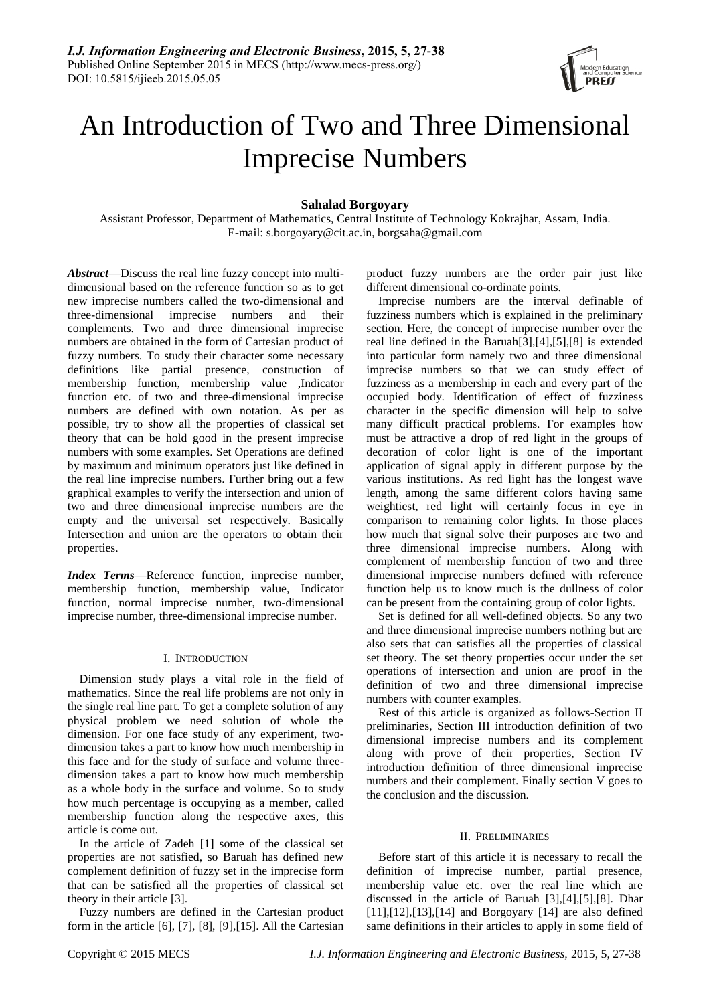

# An Introduction of Two and Three Dimensional Imprecise Numbers

# **Sahalad Borgoyary**

Assistant Professor, Department of Mathematics, Central Institute of Technology Kokrajhar, Assam, India. E-mail: s.borgoyary@cit.ac.in, borgsaha@gmail.com

*Abstract*—Discuss the real line fuzzy concept into multidimensional based on the reference function so as to get new imprecise numbers called the two-dimensional and three-dimensional imprecise numbers and their complements. Two and three dimensional imprecise numbers are obtained in the form of Cartesian product of fuzzy numbers. To study their character some necessary definitions like partial presence, construction of membership function, membership value ,Indicator function etc. of two and three-dimensional imprecise numbers are defined with own notation. As per as possible, try to show all the properties of classical set theory that can be hold good in the present imprecise numbers with some examples. Set Operations are defined by maximum and minimum operators just like defined in the real line imprecise numbers. Further bring out a few graphical examples to verify the intersection and union of two and three dimensional imprecise numbers are the empty and the universal set respectively. Basically Intersection and union are the operators to obtain their properties.

*Index Terms*—Reference function, imprecise number, membership function, membership value, Indicator function, normal imprecise number, two-dimensional imprecise number, three-dimensional imprecise number.

## I. INTRODUCTION

Dimension study plays a vital role in the field of mathematics. Since the real life problems are not only in the single real line part. To get a complete solution of any physical problem we need solution of whole the dimension. For one face study of any experiment, twodimension takes a part to know how much membership in this face and for the study of surface and volume threedimension takes a part to know how much membership as a whole body in the surface and volume. So to study how much percentage is occupying as a member, called membership function along the respective axes, this article is come out.

In the article of Zadeh [1] some of the classical set properties are not satisfied, so Baruah has defined new complement definition of fuzzy set in the imprecise form that can be satisfied all the properties of classical set theory in their article [3].

Fuzzy numbers are defined in the Cartesian product form in the article  $[6]$ ,  $[7]$ ,  $[8]$ ,  $[9]$ ,  $[15]$ . All the Cartesian

product fuzzy numbers are the order pair just like different dimensional co-ordinate points.

Imprecise numbers are the interval definable of fuzziness numbers which is explained in the preliminary section. Here, the concept of imprecise number over the real line defined in the Baruah[3],[4],[5],[8] is extended into particular form namely two and three dimensional imprecise numbers so that we can study effect of fuzziness as a membership in each and every part of the occupied body. Identification of effect of fuzziness character in the specific dimension will help to solve many difficult practical problems. For examples how must be attractive a drop of red light in the groups of decoration of color light is one of the important application of signal apply in different purpose by the various institutions. As red light has the longest wave length, among the same different colors having same weightiest, red light will certainly focus in eye in comparison to remaining color lights. In those places how much that signal solve their purposes are two and three dimensional imprecise numbers. Along with complement of membership function of two and three dimensional imprecise numbers defined with reference function help us to know much is the dullness of color can be present from the containing group of color lights.

Set is defined for all well-defined objects. So any two and three dimensional imprecise numbers nothing but are also sets that can satisfies all the properties of classical set theory. The set theory properties occur under the set operations of intersection and union are proof in the definition of two and three dimensional imprecise numbers with counter examples.

Rest of this article is organized as follows-Section II preliminaries, Section III introduction definition of two dimensional imprecise numbers and its complement along with prove of their properties, Section IV introduction definition of three dimensional imprecise numbers and their complement. Finally section V goes to the conclusion and the discussion.

## II. PRELIMINARIES

Before start of this article it is necessary to recall the definition of imprecise number, partial presence, membership value etc. over the real line which are discussed in the article of Baruah [3],[4],[5],[8]. Dhar [11],[12],[13],[14] and Borgoyary [14] are also defined same definitions in their articles to apply in some field of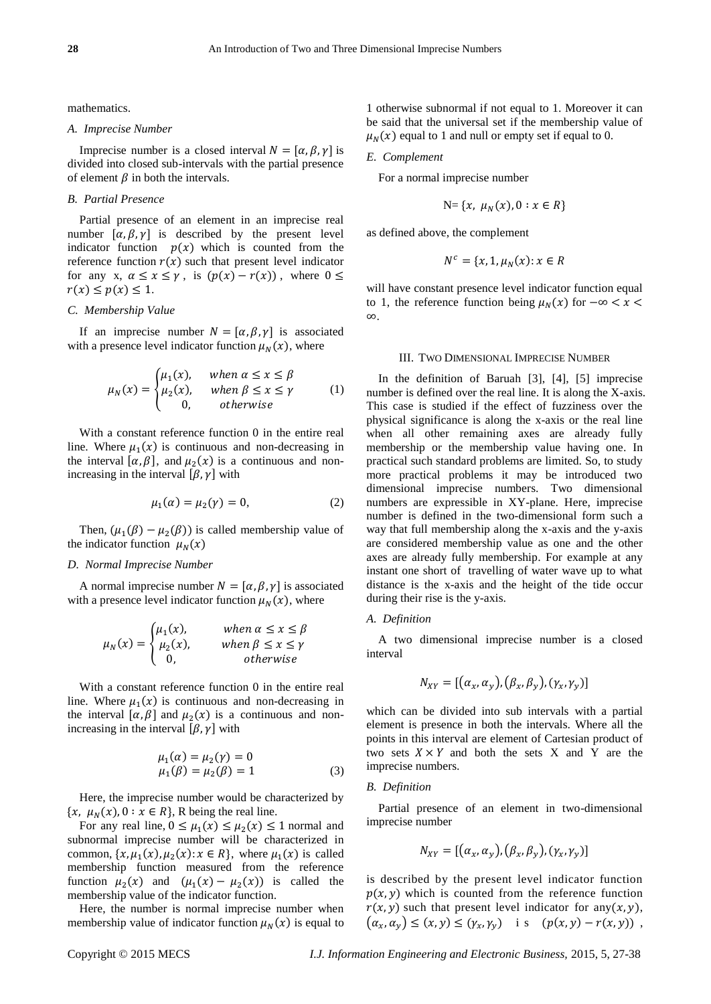mathematics.

#### *A. Imprecise Number*

Imprecise number is a closed interval  $N = [\alpha, \beta, \gamma]$  is divided into closed sub-intervals with the partial presence of element  $\beta$  in both the intervals.

## *B. Partial Presence*

Partial presence of an element in an imprecise real number  $[\alpha, \beta, \gamma]$  is described by the present level indicator function  $p(x)$  which is counted from the reference function  $r(x)$  such that present level indicator for any x,  $\alpha \leq x \leq \gamma$ , is  $(p(x) - r(x))$ , where  $0 \leq$  $r(x) \leq p(x) \leq 1$ .

## *C. Membership Value*

If an imprecise number  $N = [\alpha, \beta, \gamma]$  is associated with a presence level indicator function  $\mu_N(x)$ , where

$$
\mu_N(x) = \begin{cases} \mu_1(x), & \text{when } \alpha \le x \le \beta \\ \mu_2(x), & \text{when } \beta \le x \le \gamma \\ 0, & \text{otherwise} \end{cases} \tag{1}
$$

With a constant reference function 0 in the entire real line. Where  $\mu_1(x)$  is continuous and non-decreasing in the interval  $[\alpha, \beta]$ , and  $\mu_2(x)$  is a continuous and nonincreasing in the interval  $[\beta, \gamma]$  with

$$
\mu_1(\alpha) = \mu_2(\gamma) = 0,\tag{2}
$$

Then,  $(\mu_1(\beta) - \mu_2(\beta))$  is called membership value of the indicator function  $\mu_N(x)$ 

#### *D. Normal Imprecise Number*

A normal imprecise number  $N = [\alpha, \beta, \gamma]$  is associated with a presence level indicator function  $\mu_N(x)$ , where

$$
\mu_N(x) = \begin{cases} \mu_1(x), & \text{when } \alpha \le x \le \beta \\ \mu_2(x), & \text{when } \beta \le x \le \gamma \\ 0, & \text{otherwise} \end{cases}
$$

With a constant reference function 0 in the entire real line. Where  $\mu_1(x)$  is continuous and non-decreasing in the interval  $[\alpha, \beta]$  and  $\mu_2(x)$  is a continuous and nonincreasing in the interval  $[\beta, \gamma]$  with

$$
\mu_1(\alpha) = \mu_2(\gamma) = 0 \n\mu_1(\beta) = \mu_2(\beta) = 1
$$
\n(3)

Here, the imprecise number would be characterized by  $\{x, \mu_N(x), 0 : x \in R\}$ , R being the real line.

For any real line,  $0 \leq \mu_1(x) \leq \mu_2(x) \leq 1$  normal and subnormal imprecise number will be characterized in common,  $\{x, \mu_1(x), \mu_2(x): x \in \mathbb{R}\}$ , where  $\mu_1(x)$  is called membership function measured from the reference function  $\mu_2(x)$  and  $(\mu_1(x) - \mu_2(x))$  is called the membership value of the indicator function.

Here, the number is normal imprecise number when membership value of indicator function  $\mu_N(x)$  is equal to

1 otherwise subnormal if not equal to 1. Moreover it can be said that the universal set if the membership value of  $\mu_N(x)$  equal to 1 and null or empty set if equal to 0.

#### *E. Complement*

For a normal imprecise number

$$
N = \{x, \mu_N(x), 0 : x \in R\}
$$

as defined above, the complement

$$
N^c = \{x, 1, \mu_N(x) : x \in R
$$

will have constant presence level indicator function equal to 1, the reference function being  $\mu_N(x)$  for  $-\infty < x <$ .

### III. TWO DIMENSIONAL IMPRECISE NUMBER

In the definition of Baruah [3], [4], [5] imprecise number is defined over the real line. It is along the X-axis. This case is studied if the effect of fuzziness over the physical significance is along the x-axis or the real line when all other remaining axes are already fully membership or the membership value having one. In practical such standard problems are limited. So, to study more practical problems it may be introduced two dimensional imprecise numbers. Two dimensional numbers are expressible in XY-plane. Here, imprecise number is defined in the two-dimensional form such a way that full membership along the x-axis and the y-axis are considered membership value as one and the other axes are already fully membership. For example at any instant one short of travelling of water wave up to what distance is the x-axis and the height of the tide occur during their rise is the y-axis.

## *A. Definition*

A two dimensional imprecise number is a closed interval

$$
N_{XY} = [\left(\alpha_x, \alpha_y\right), \left(\beta_x, \beta_y\right), \left(\gamma_x, \gamma_y\right)]
$$

which can be divided into sub intervals with a partial element is presence in both the intervals. Where all the points in this interval are element of Cartesian product of two sets  $X \times Y$  and both the sets X and Y are the imprecise numbers.

### *B. Definition*

Partial presence of an element in two-dimensional imprecise number

$$
N_{XY}=[(\alpha_x,\alpha_y),(\beta_x,\beta_y),(\gamma_x,\gamma_y)]
$$

is described by the present level indicator function  $p(x, y)$  which is counted from the reference function  $r(x, y)$  such that present level indicator for any  $(x, y)$ ,  $(\alpha_x, \alpha_y) \le (x, y) \le (\gamma_x, \gamma_y)$  is  $(p(x, y) - r(x, y))$ ,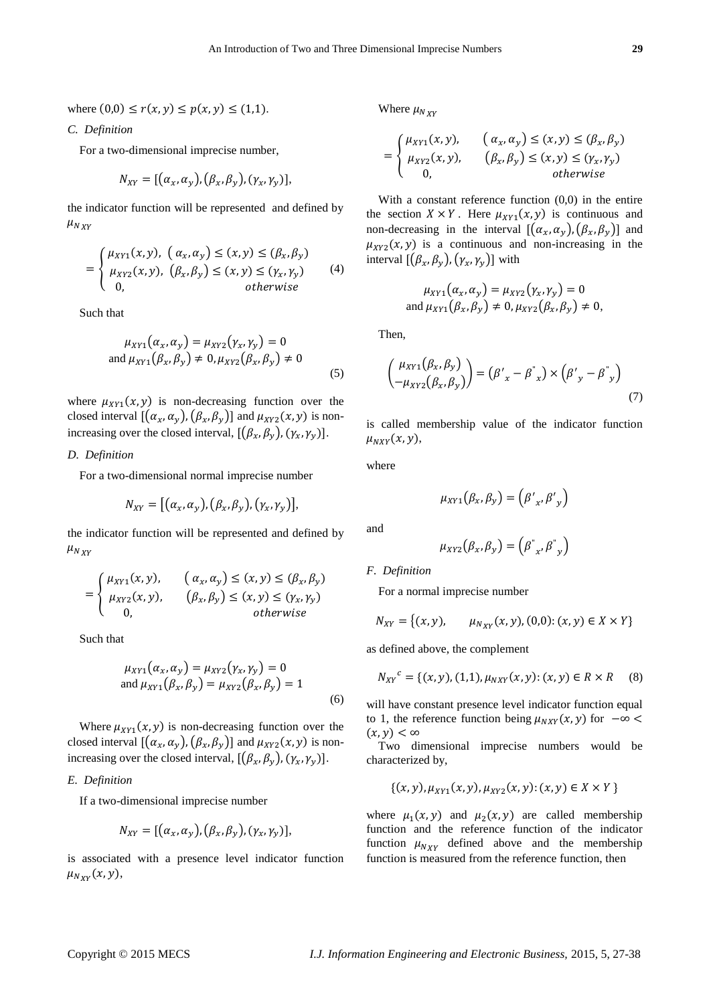where  $(0,0) \le r(x, y) \le p(x, y) \le (1,1)$ .

*C. Definition*

For a two-dimensional imprecise number,

$$
N_{XY}=[(\alpha_x,\alpha_y),(\beta_x,\beta_y),(\gamma_x,\gamma_y)],
$$

the indicator function will be represented and defined by  $\mu_{NXY}$ 

$$
= \begin{cases} \mu_{XY1}(x, y), & (\alpha_x, \alpha_y) \le (x, y) \le (\beta_x, \beta_y) \\ \mu_{XYZ}(x, y), & (\beta_x, \beta_y) \le (x, y) \le (\gamma_x, \gamma_y) \\ 0, & \text{otherwise} \end{cases} \tag{4}
$$

Such that

$$
\mu_{XY1}(\alpha_x, \alpha_y) = \mu_{XY2}(\gamma_x, \gamma_y) = 0
$$
  
and 
$$
\mu_{XY1}(\beta_x, \beta_y) \neq 0, \mu_{XYZ}(\beta_x, \beta_y) \neq 0
$$
 (5)

where  $\mu_{XY1}(x, y)$  is non-decreasing function over the closed interval  $[(\alpha_x, \alpha_y), (\beta_x, \beta_y)]$  and  $\mu_{XYZ}(x, y)$  is nonincreasing over the closed interval,  $[(\beta_x, \beta_y), (\gamma_x, \gamma_y)].$ 

## *D. Definition*

For a two-dimensional normal imprecise number

$$
N_{XY}=[(\alpha_x,\alpha_y),(\beta_x,\beta_y),(\gamma_x,\gamma_y)],
$$

the indicator function will be represented and defined by  $\mu_{NXY}$ 

$$
= \begin{cases} \mu_{XY1}(x, y), & \left( \alpha_x, \alpha_y \right) \le (x, y) \le (\beta_x, \beta_y) \\ \mu_{XYZ}(x, y), & \left( \beta_x, \beta_y \right) \le (x, y) \le (\gamma_x, \gamma_y) \\ 0, & \text{otherwise} \end{cases}
$$

Such that

$$
\mu_{XY1}(\alpha_x, \alpha_y) = \mu_{XYZ}(\gamma_x, \gamma_y) = 0
$$
  
and 
$$
\mu_{XY1}(\beta_x, \beta_y) = \mu_{XYZ}(\beta_x, \beta_y) = 1
$$
 (6)

Where  $\mu_{XY1}(x, y)$  is non-decreasing function over the closed interval  $[(\alpha_x, \alpha_y), (\beta_x, \beta_y)]$  and  $\mu_{XYZ}(x, y)$  is nonincreasing over the closed interval,  $[(\beta_x, \beta_y), (\gamma_x, \gamma_y)].$ 

## *E. Definition*

If a two-dimensional imprecise number

$$
N_{XY}=[(\alpha_x,\alpha_y),(\beta_x,\beta_y),(\gamma_x,\gamma_y)],
$$

is associated with a presence level indicator function  $\mu_{N_{XY}}(x, y),$ 

Where  $\mu_{Nxy}$ 

$$
= \begin{cases} \mu_{XY1}(x, y), & (\alpha_x, \alpha_y) \le (x, y) \le (\beta_x, \beta_y) \\ \mu_{XYZ}(x, y), & (\beta_x, \beta_y) \le (x, y) \le (\gamma_x, \gamma_y) \\ 0, & \text{otherwise} \end{cases}
$$

With a constant reference function (0,0) in the entire the section  $X \times Y$ . Here  $\mu_{XY1}(x, y)$  is continuous and non-decreasing in the interval  $[ (\alpha_x, \alpha_y), (\beta_x, \beta_y) ]$  and  $\mu_{XYZ}(x, y)$  is a continuous and non-increasing in the interval  $[(\beta_x, \beta_y), (\gamma_x, \gamma_y)]$  with

$$
\mu_{XY1}(\alpha_x, \alpha_y) = \mu_{XYZ}(\gamma_x, \gamma_y) = 0
$$
  
and 
$$
\mu_{XY1}(\beta_x, \beta_y) \neq 0, \mu_{XYZ}(\beta_x, \beta_y) \neq 0,
$$

Then,

$$
\begin{pmatrix} \mu_{XY1}(\beta_x, \beta_y) \\ -\mu_{XYZ}(\beta_x, \beta_y) \end{pmatrix} = (\beta'_x - \beta^*_x) \times (\beta'_y - \beta^*_y) \tag{7}
$$

is called membership value of the indicator function  $\mu_{NXY}(x, y),$ 

where

$$
\mu_{XY1}(\beta_x, \beta_y) = (\beta'_{x}, \beta'_{y})
$$

and

$$
\mu_{XY2}(\beta_x, \beta_y) = (\beta^{''}_{x}, \beta^{''}_{y})
$$

*F. Definition*

For a normal imprecise number

$$
N_{XY} = \{(x, y), \qquad \mu_{N_{XY}}(x, y), (0, 0); (x, y) \in X \times Y\}
$$

as defined above, the complement

$$
N_{XY}^c = \{ (x, y), (1, 1), \mu_{NXY}(x, y); (x, y) \in R \times R \quad (8)
$$

will have constant presence level indicator function equal to 1, the reference function being  $\mu_{NXY}(x, y)$  for  $-\infty$  $(x,y) < \infty$ 

Two dimensional imprecise numbers would be characterized by,

$$
\{(x, y), \mu_{XY1}(x, y), \mu_{XYZ}(x, y) : (x, y) \in X \times Y \}
$$

where  $\mu_1(x, y)$  and  $\mu_2(x, y)$  are called membership function and the reference function of the indicator function  $\mu_{NXY}$  defined above and the membership function is measured from the reference function, then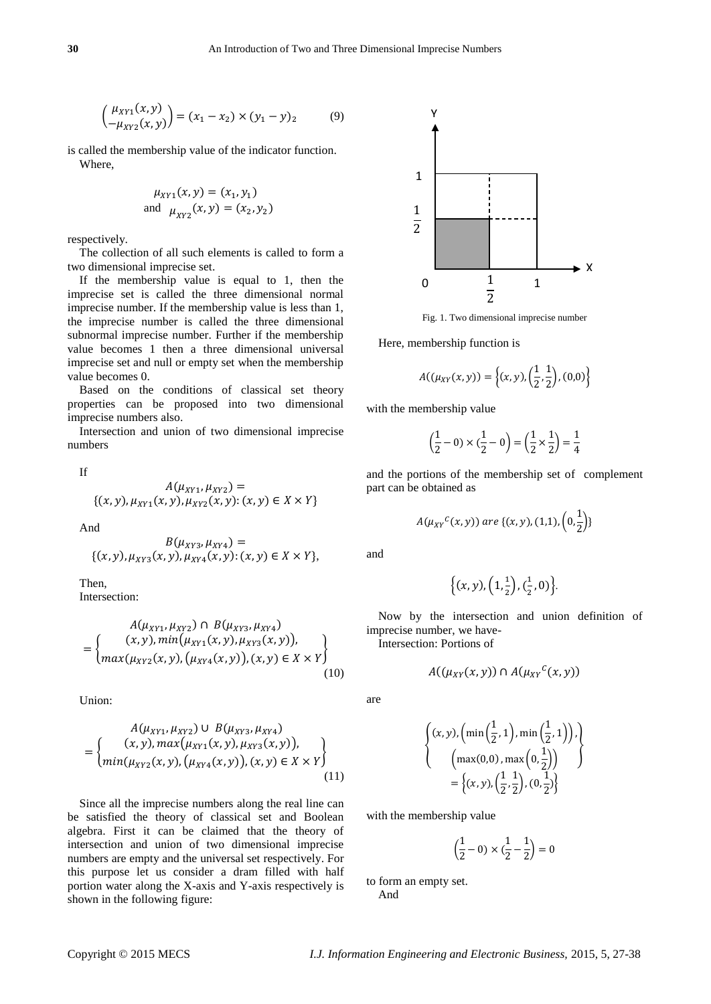$$
\begin{pmatrix} \mu_{XY1}(x, y) \\ -\mu_{XYZ}(x, y) \end{pmatrix} = (x_1 - x_2) \times (y_1 - y)_2 \tag{9}
$$

is called the membership value of the indicator function. Where,

$$
\mu_{XY1}(x, y) = (x_1, y_1)
$$
  
and  $\mu_{XY2}(x, y) = (x_2, y_2)$ 

respectively.

The collection of all such elements is called to form a two dimensional imprecise set.

If the membership value is equal to 1, then the imprecise set is called the three dimensional normal imprecise number. If the membership value is less than 1, the imprecise number is called the three dimensional subnormal imprecise number. Further if the membership value becomes 1 then a three dimensional universal imprecise set and null or empty set when the membership value becomes 0.

Based on the conditions of classical set theory properties can be proposed into two dimensional imprecise numbers also.

Intersection and union of two dimensional imprecise numbers

If

$$
A(\mu_{XY1}, \mu_{XY2}) =
$$
  
{(x, y), \mu\_{XY1}(x, y), \mu\_{XY2}(x, y): (x, y) \in X \times Y}

And

$$
B(\mu_{XY3}, \mu_{XY4}) = \{(x, y), \mu_{XY3}(x, y), \mu_{XY4}(x, y) : (x, y) \in X \times Y\},\
$$

Then, Intersection:

$$
A(\mu_{XY1}, \mu_{XYZ}) \cap B(\mu_{XYZ1}, \mu_{XYZ4})
$$
  
= { (x, y), min( $\mu_{XY1}(x, y), \mu_{XYZ3}(x, y)$ ),  
 max( $\mu_{XYZ}(x, y), (\mu_{XYZ}(x, y)), (x, y) \in X \times Y$  ) (10)

Union:

$$
A(\mu_{XY1}, \mu_{XYZ}) \cup B(\mu_{XYZ1}, \mu_{XY4})
$$
  
= { (x, y), max( $\mu_{XY1}(x, y), \mu_{XYZ}(x, y)$ ),  
 min( $\mu_{XYZ}(x, y), (\mu_{XYZ}(x, y)), (x, y) \in X \times Y$  ) (11)

Since all the imprecise numbers along the real line can be satisfied the theory of classical set and Boolean algebra. First it can be claimed that the theory of intersection and union of two dimensional imprecise numbers are empty and the universal set respectively. For this purpose let us consider a dram filled with half portion water along the X-axis and Y-axis respectively is shown in the following figure:



Fig. 1. Two dimensional imprecise number

Here, membership function is

$$
A((\mu_{XY}(x,y)) = \left\{ (x,y), \left( \frac{1}{2}, \frac{1}{2} \right), (0,0) \right\}
$$

with the membership value

$$
\left(\frac{1}{2} - 0\right) \times \left(\frac{1}{2} - 0\right) = \left(\frac{1}{2} \times \frac{1}{2}\right) = \frac{1}{4}
$$

and the portions of the membership set of complement part can be obtained as

$$
A(\mu_{XY}^c(x, y))
$$
 are  $\{(x, y), (1, 1), (0, \frac{1}{2})\}$ 

and

$$
\{(x,y), \left(1, \frac{1}{2}\right), \left(\frac{1}{2}, 0\right)\}.
$$

Now by the intersection and union definition of imprecise number, we have-

Intersection: Portions of

$$
A((\mu_{XY}(x,y)) \cap A(\mu_{XY}^{\ \ c}(x,y))
$$

are

$$
\left\{ \begin{aligned} (x, y), \left( \min\left(\frac{1}{2}, 1\right), \min\left(\frac{1}{2}, 1\right) \right), \\ \left( \max(0, 0), \max\left(0, \frac{1}{2}\right) \right) \\ = \left\{ (x, y), \left(\frac{1}{2}, \frac{1}{2}\right), (0, \frac{1}{2}) \right\} \end{aligned} \right\}
$$

with the membership value

$$
\left(\frac{1}{2} - 0\right) \times \left(\frac{1}{2} - \frac{1}{2}\right) = 0
$$

to form an empty set.

And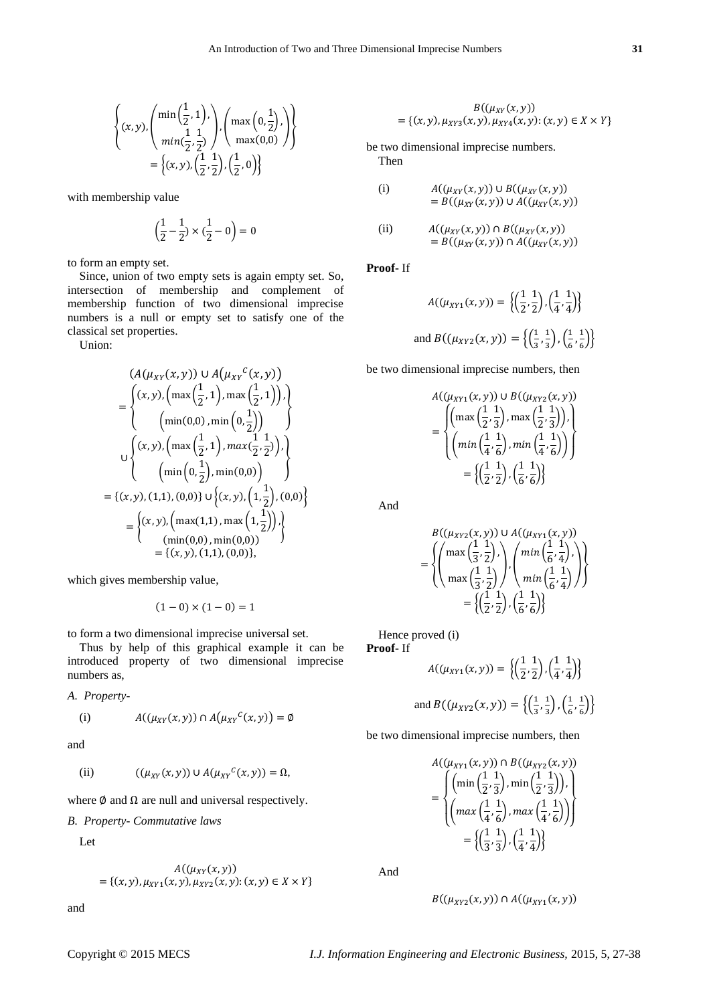$$
\left\{ (x, y), \left( \begin{array}{c} \min\left(\frac{1}{2}, 1\right), \\ \min\left(\frac{1}{2}, \frac{1}{2}\right) \end{array} \right), \left( \max\left(0, \frac{1}{2}\right), \right) \right\} \\ = \left\{ (x, y), \left( \frac{1}{2}, \frac{1}{2} \right), \left( \frac{1}{2}, 0 \right) \right\}
$$

with membership value

$$
\Bigl(\frac{1}{2}\!-\!\frac{1}{2}\Bigr)\times\bigl(\frac{1}{2}\!-0\Bigr)=0
$$

to form an empty set.

Since, union of two empty sets is again empty set. So, intersection of membership and complement of membership function of two dimensional imprecise numbers is a null or empty set to satisfy one of the classical set properties.

Union:

$$
(A(\mu_{XY}(x, y)) \cup A(\mu_{XY}^c(x, y))
$$
  
= 
$$
\begin{cases} (x, y), (\max(\frac{1}{2}, 1), \max(\frac{1}{2}, 1)), \\ (\min(0, 0), \min(0, \frac{1}{2})) \end{cases}
$$
  

$$
\cup \begin{cases} (x, y), (\max(\frac{1}{2}, 1), \max(\frac{1}{2}, \frac{1}{2})), \\ (\min(0, \frac{1}{2}), \min(0, 0)) \end{cases}
$$
  
= 
$$
\{(x, y), (1, 1), (0, 0)\} \cup \{(x, y), (1, \frac{1}{2}), (0, 0)\}
$$
  
= 
$$
\begin{cases} (x, y), (\max(1, 1), \max(1, \frac{1}{2})), \\ (\min(0, 0), \min(0, 0)) \\ = \{(x, y), (1, 1), (0, 0)\}, \end{cases}
$$

which gives membership value,

$$
(1-0) \times (1-0) = 1
$$

to form a two dimensional imprecise universal set.

Thus by help of this graphical example it can be introduced property of two dimensional imprecise numbers as,

 $=$  Ø

*A. Property-*

(i) 
$$
A((\mu_{XY}(x,y)) \cap A(\mu_{XY}^{c}(x,y)))
$$

and

$$
(ii) \qquad ((\mu_{XY}(x, y)) \cup A(\mu_{XY}^c(x, y)) = \Omega,
$$

where  $\emptyset$  and  $\Omega$  are null and universal respectively.

*B. Property- Commutative laws*

Let

$$
A((\mu_{XY}(x, y)) = \{(x, y), \mu_{XY1}(x, y), \mu_{XYZ}(x, y) : (x, y) \in X \times Y\}
$$

and

$$
B((\mu_{XY}(x, y)) = \{(x, y), \mu_{XYZ}(x, y), \mu_{XY4}(x, y) : (x, y) \in X \times Y\}
$$

be two dimensional imprecise numbers. Then

(i) 
$$
A((\mu_{XY}(x, y)) \cup B((\mu_{XY}(x, y)))= B((\mu_{XY}(x, y)) \cup A((\mu_{XY}(x, y)))
$$

(ii) 
$$
A((\mu_{XY}(x,y)) \cap B((\mu_{XY}(x,y))) = B((\mu_{XY}(x,y)) \cap A((\mu_{XY}(x,y)))
$$

**Proof-** If

$$
A((\mu_{XY1}(x, y)) = \left\{ \left( \frac{1}{2}, \frac{1}{2} \right), \left( \frac{1}{4}, \frac{1}{4} \right) \right\}
$$
  
and 
$$
B((\mu_{XYZ}(x, y)) = \left\{ \left( \frac{1}{3}, \frac{1}{3} \right), \left( \frac{1}{6}, \frac{1}{6} \right) \right\}
$$

be two dimensional imprecise numbers, then

$$
A((\mu_{XY1}(x, y)) \cup B((\mu_{XYZ}(x, y)))
$$
  
= 
$$
\begin{pmatrix} \left( \max\left(\frac{1}{2}, \frac{1}{3}\right), \max\left(\frac{1}{2}, \frac{1}{3}\right) \right), \\ \left( \min\left(\frac{1}{4}, \frac{1}{6}\right), \min\left(\frac{1}{4}, \frac{1}{6}\right) \right) \end{pmatrix}
$$
  
= 
$$
\begin{cases} \left(\frac{1}{2}, \frac{1}{2}\right), \left(\frac{1}{6}, \frac{1}{6}\right) \end{cases}
$$

And

$$
B((\mu_{XYZ}(x, y)) \cup A((\mu_{XY1}(x, y)))
$$
  
= 
$$
\left\{ \left( \max\left(\frac{1}{3}, \frac{1}{2}\right), \right) , \left( \min\left(\frac{1}{6}, \frac{1}{4}\right), \right) \right\}
$$
  
= 
$$
\left\{ \left( \frac{1}{2}, \frac{1}{2}\right), \left( \frac{1}{6}, \frac{1}{6}\right) \right\}
$$

Hence proved (i) **Proof-** If

$$
A((\mu_{XY1}(x,y)) = \left\{ \left( \frac{1}{2}, \frac{1}{2} \right), \left( \frac{1}{4}, \frac{1}{4} \right) \right\}
$$
  
and 
$$
B((\mu_{XYZ}(x,y)) = \left\{ \left( \frac{1}{3}, \frac{1}{3} \right), \left( \frac{1}{6}, \frac{1}{6} \right) \right\}
$$

be two dimensional imprecise numbers, then

$$
A((\mu_{XY1}(x, y)) \cap B((\mu_{XYZ}(x, y)))
$$
  
= 
$$
\begin{pmatrix} \left(\min\left(\frac{1}{2}, \frac{1}{3}\right), \min\left(\frac{1}{2}, \frac{1}{3}\right)\right), \\ \left(\max\left(\frac{1}{4}, \frac{1}{6}\right), \max\left(\frac{1}{4}, \frac{1}{6}\right)\right) \end{pmatrix}
$$
  
= 
$$
\left\{\left(\frac{1}{3}, \frac{1}{3}\right), \left(\frac{1}{4}, \frac{1}{4}\right)\right\}
$$

And

$$
B((\mu_{XY2}(x,y)) \cap A((\mu_{XY1}(x,y)))
$$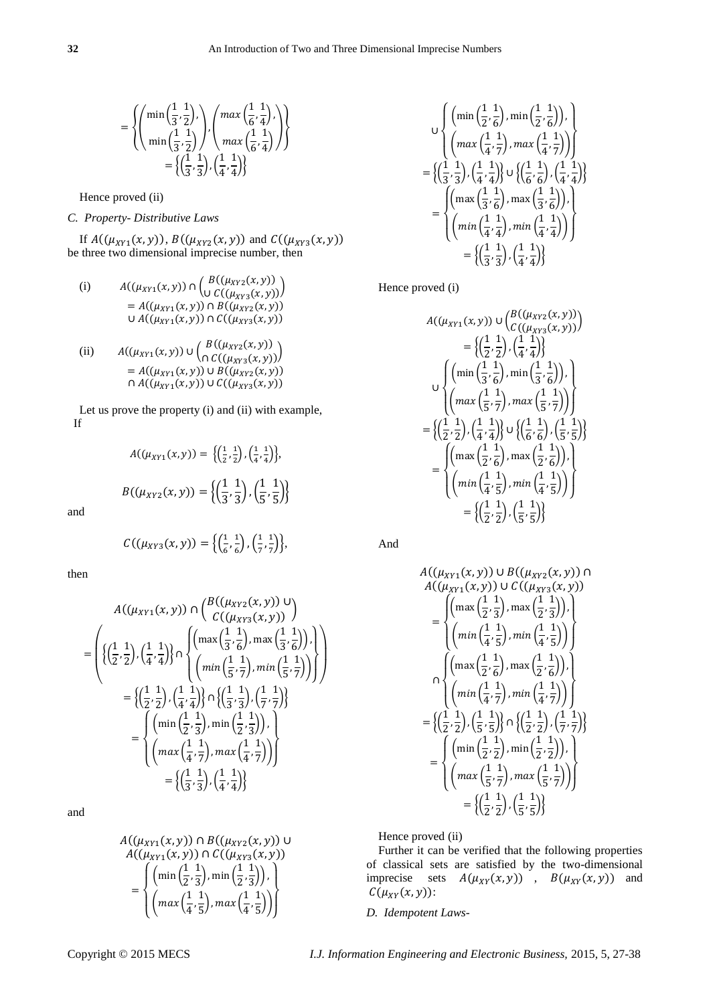$$
= \left\{ \left( \min\left( \frac{1}{3}, \frac{1}{2} \right), \atop \min\left( \frac{1}{3}, \frac{1}{2} \right) \right), \left( \max\left( \frac{1}{6}, \frac{1}{4} \right), \atop \max\left( \frac{1}{6}, \frac{1}{4} \right) \right) \right\} \\ = \left\{ \left( \frac{1}{3}, \frac{1}{3} \right), \left( \frac{1}{4}, \frac{1}{4} \right) \right\}
$$

Hence proved (ii)

# *C. Property- Distributive Laws*

If  $A((\mu_{XY1}(x, y)), B((\mu_{XYZ}(x, y)))$  and  $C((\mu_{XYZ}(x, y)))$ be three two dimensional imprecise number, then

(i) 
$$
A((\mu_{XY1}(x,y)) \cap \begin{pmatrix} B((\mu_{XYZ}(x,y))) \\ 0 & C((\mu_{XYZ}(x,y))) \end{pmatrix}
$$

$$
= A((\mu_{XY1}(x,y)) \cap B((\mu_{XYZ}(x,y)))
$$

$$
= A((\mu_{XYZ}(x,y)) \cap C((\mu_{XYZ}(x,y)))
$$

(ii) 
$$
A((\mu_{XY1}(x, y)) \cup \begin{pmatrix} B((\mu_{XYZ}(x, y))) \\ \cap C((\mu_{XYZ}(x, y))) \end{pmatrix}
$$

$$
= A((\mu_{XY1}(x, y)) \cup B((\mu_{XYZ}(x, y)))
$$

$$
\cap A((\mu_{XYZ}(x, y)) \cup C((\mu_{XYZ}(x, y)))
$$

Let us prove the property (i) and (ii) with example, If

$$
A((\mu_{XY1}(x,y)) = \left\{ \left( \frac{1}{2}, \frac{1}{2} \right), \left( \frac{1}{4}, \frac{1}{4} \right) \right\},\
$$

$$
B((\mu_{XYZ}(x,y)) = \left\{ \left( \frac{1}{3}, \frac{1}{3} \right), \left( \frac{1}{5}, \frac{1}{5} \right) \right\}
$$

and

$$
C((\mu_{XY3}(x,y)) = \left\{ \left( \frac{1}{6}, \frac{1}{6} \right), \left( \frac{1}{7}, \frac{1}{7} \right) \right\},\
$$

then

$$
A((\mu_{XY1}(x, y)) \cap \begin{pmatrix} B((\mu_{XYZ}(x, y)) & 0 \\ C((\mu_{XYZ}(x, y))) \end{pmatrix})
$$
  
= 
$$
\begin{pmatrix} \left\{ \left( \frac{1}{2}, \frac{1}{2} \right), \left( \frac{1}{4}, \frac{1}{4} \right) \right\} \cap \begin{pmatrix} \left( \max \left( \frac{1}{3}, \frac{1}{6} \right), \max \left( \frac{1}{3}, \frac{1}{6} \right) \right), \\ \left( \min \left( \frac{1}{3}, \frac{1}{5} \right), \min \left( \frac{1}{5}, \frac{1}{7} \right) \right) \end{pmatrix} \end{pmatrix}
$$
  
= 
$$
\begin{pmatrix} \left( \frac{1}{2}, \frac{1}{2} \right), \left( \frac{1}{4}, \frac{1}{4} \right) \right\} \cap \begin{pmatrix} \left( \frac{1}{3}, \frac{1}{3} \right), \left( \frac{1}{7}, \frac{1}{7} \right) \end{pmatrix}
$$
  
= 
$$
\begin{pmatrix} \left( \min \left( \frac{1}{2}, \frac{1}{3} \right), \min \left( \frac{1}{2}, \frac{1}{3} \right) \right), \\ \left( \max \left( \frac{1}{4}, \frac{1}{7} \right), \max \left( \frac{1}{4}, \frac{1}{7} \right) \right) \end{pmatrix}
$$
  
= 
$$
\begin{pmatrix} \left( \frac{1}{3}, \frac{1}{3} \right), \left( \frac{1}{4}, \frac{1}{4} \right) \end{pmatrix}
$$

and

$$
A((\mu_{XY1}(x, y)) \cap B((\mu_{XYZ}(x, y)) \cup A((\mu_{XYZ}(x, y))) \cap C((\mu_{XYZ}(x, y)))
$$
  
= 
$$
\begin{pmatrix} \left(\min\left(\frac{1}{2}, \frac{1}{3}\right), \min\left(\frac{1}{2}, \frac{1}{3}\right)\right), \\ \left(\max\left(\frac{1}{4}, \frac{1}{5}\right), \max\left(\frac{1}{4}, \frac{1}{5}\right)\right) \end{pmatrix}
$$

$$
\bigcup_{U} \left\{ \left( \min\left(\frac{1}{2}, \frac{1}{6}\right), \min\left(\frac{1}{2}, \frac{1}{6}\right) \right), \atop \left( \max\left(\frac{1}{4}, \frac{1}{7}\right), \max\left(\frac{1}{4}, \frac{1}{7}\right) \right) \right\}
$$
\n
$$
= \left\{ \left( \frac{1}{3}, \frac{1}{3} \right), \left( \frac{1}{4}, \frac{1}{4} \right) \right\} \cup \left\{ \left( \frac{1}{6}, \frac{1}{6} \right), \left( \frac{1}{4}, \frac{1}{4} \right) \right\}
$$
\n
$$
= \left\{ \left( \max\left(\frac{1}{3}, \frac{1}{6}\right), \max\left(\frac{1}{3}, \frac{1}{6}\right) \right), \atop \left( \min\left(\frac{1}{4}, \frac{1}{4}\right), \min\left(\frac{1}{4}, \frac{1}{4}\right) \right) \right\}
$$
\n
$$
= \left\{ \left( \frac{1}{3}, \frac{1}{3} \right), \left( \frac{1}{4}, \frac{1}{4} \right) \right\}
$$

Hence proved (i)

l.

$$
A((\mu_{XY1}(x, y)) \cup \begin{pmatrix} B((\mu_{XYZ}(x, y))) \\ C((\mu_{XYZ}(x, y))) \end{pmatrix}
$$
  
\n=
$$
\begin{pmatrix} 1 & 1 \\ 2 & 2 \end{pmatrix}, \begin{pmatrix} 1 & 1 \\ 4 & 4 \end{pmatrix}
$$
  
\n
$$
\cup \begin{pmatrix} \left( \min\left(\frac{1}{3}, \frac{1}{6}\right), \min\left(\frac{1}{3}, \frac{1}{6}\right) \right), \\ \left( \max\left(\frac{1}{5}, \frac{1}{7}\right), \max\left(\frac{1}{5}, \frac{1}{7}\right) \right) \end{pmatrix}
$$
  
\n=
$$
\begin{pmatrix} 1 & 1 \\ 2 & 2 \end{pmatrix}, \begin{pmatrix} 1 & 1 \\ 4 & 4 \end{pmatrix} \end{pmatrix} \cup \begin{pmatrix} 1 & 1 \\ 6 & 6 \end{pmatrix}, \begin{pmatrix} 1 & 1 \\ \frac{1}{5} & 5 \end{pmatrix}
$$
  
\n=
$$
\begin{pmatrix} \left( \max\left(\frac{1}{2}, \frac{1}{6}\right), \max\left(\frac{1}{2}, \frac{1}{6}\right) \right), \\ \left( \min\left(\frac{1}{4}, \frac{1}{5}\right), \min\left(\frac{1}{4}, \frac{1}{5}\right) \right) \end{pmatrix}
$$
  
\n=
$$
\begin{pmatrix} \frac{1}{2} & 1 \\ \frac{1}{2} & \frac{1}{2} \end{pmatrix}, \begin{pmatrix} \frac{1}{5} & 1 \\ \frac{1}{5} & \frac{1}{5} \end{pmatrix} \end{pmatrix}
$$

And

$$
A((\mu_{XY1}(x, y)) \cup B((\mu_{XYZ}(x, y)) \cap A((\mu_{XYZ}(x, y))) \cup B((\mu_{XYZ}(x, y)))
$$
\n
$$
= \begin{cases}\n\left(\max\left(\frac{1}{2}, \frac{1}{3}\right), \max\left(\frac{1}{2}, \frac{1}{3}\right)\right), \\
\left(\min\left(\frac{1}{4}, \frac{1}{5}\right), \min\left(\frac{1}{4}, \frac{1}{5}\right)\right)\right) \\
\left(\max\left(\frac{1}{2}, \frac{1}{6}\right), \max\left(\frac{1}{2}, \frac{1}{6}\right)\right), \\
\left(\min\left(\frac{1}{4}, \frac{1}{7}\right), \min\left(\frac{1}{4}, \frac{1}{7}\right)\right)\right) \\
= \left\{\left(\frac{1}{2}, \frac{1}{2}\right), \left(\frac{1}{5}, \frac{1}{5}\right)\right\} \cap \left\{\left(\frac{1}{2}, \frac{1}{2}\right), \left(\frac{1}{7}, \frac{1}{7}\right)\right\} \\
= \begin{cases}\n\left(\min\left(\frac{1}{2}, \frac{1}{2}\right), \min\left(\frac{1}{2}, \frac{1}{2}\right)\right), \\
\left(\max\left(\frac{1}{5}, \frac{1}{7}\right), \max\left(\frac{1}{5}, \frac{1}{7}\right)\right)\right) \\
=\left\{\left(\frac{1}{2}, \frac{1}{2}\right), \left(\frac{1}{5}, \frac{1}{5}\right)\right\}\n\end{cases}
$$

Hence proved (ii)

Further it can be verified that the following properties of classical sets are satisfied by the two-dimensional imprecise sets  $A(\mu_{XY}(x, y))$ ,  $B(\mu_{XY}(x, y))$  and  $C(\mu_{XY}(x,y))$ :

*D. Idempotent Laws-*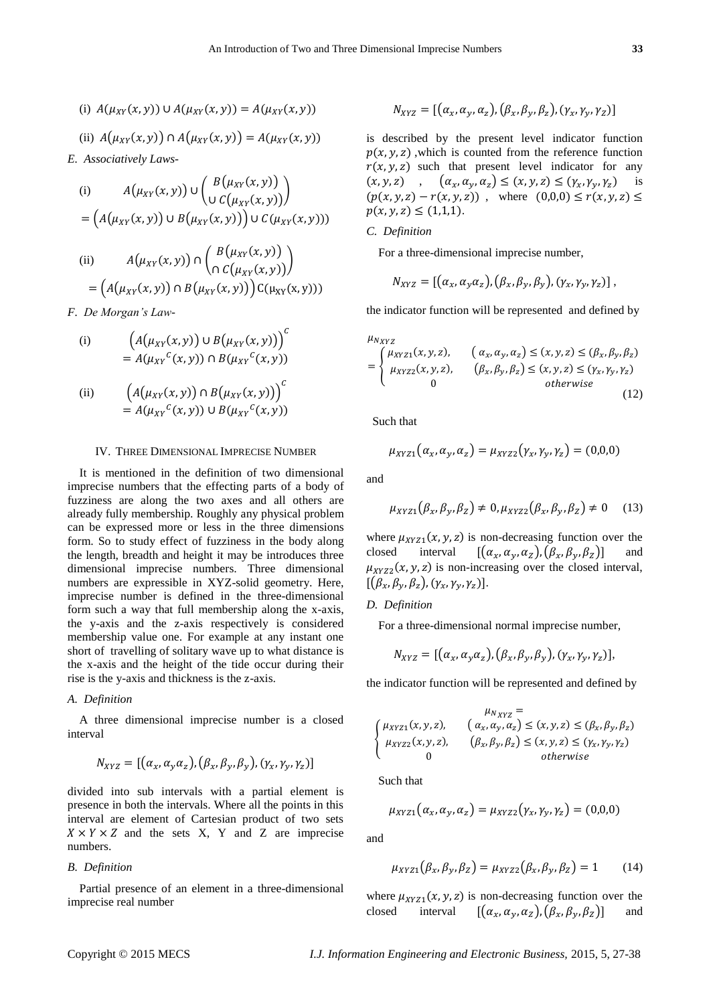(i)  $A(\mu_{XY}(x, y)) \cup A(\mu_{XY}(x, y)) = A(\mu_{XY}(x, y))$ 

(ii) 
$$
A(\mu_{XY}(x, y)) \cap A(\mu_{XY}(x, y)) = A(\mu_{XY}(x, y))
$$

*E. Associatively Laws-*

(i) 
$$
A(\mu_{XY}(x, y)) \cup \begin{pmatrix} B(\mu_{XY}(x, y)) \\ 0 & C(\mu_{XY}(x, y)) \end{pmatrix}
$$

$$
= (A(\mu_{XY}(x, y)) \cup B(\mu_{XY}(x, y))) \cup C(\mu_{XY}(x, y)))
$$
  
(ii) 
$$
A(\mu_{XY}(x, y)) \cap \begin{pmatrix} B(\mu_{XY}(x, y)) \\ 0 & C(\mu_{XY}(x, y)) \end{pmatrix}
$$

$$
= \left(A(\mu_{XY}(x,y)) \cap B(\mu_{XY}(x,y))\right) C(\mu_{XY}(x,y)))
$$

 $\overline{a}$ 

*F. De Morgan's Law-*

(i) 
$$
\left(A(\mu_{XY}(x,y)) \cup B(\mu_{XY}(x,y))\right)^{c}
$$

$$
= A(\mu_{XY}^{c}(x,y)) \cap B(\mu_{XY}^{c}(x,y))
$$

(ii) 
$$
\left(A(\mu_{XY}(x,y)) \cap B(\mu_{XY}(x,y))\right) = A(\mu_{XY}^c(x,y)) \cup B(\mu_{XY}^c(x,y))
$$

## IV. THREE DIMENSIONAL IMPRECISE NUMBER

It is mentioned in the definition of two dimensional imprecise numbers that the effecting parts of a body of fuzziness are along the two axes and all others are already fully membership. Roughly any physical problem can be expressed more or less in the three dimensions form. So to study effect of fuzziness in the body along the length, breadth and height it may be introduces three dimensional imprecise numbers. Three dimensional numbers are expressible in XYZ-solid geometry. Here, imprecise number is defined in the three-dimensional form such a way that full membership along the x-axis, the y-axis and the z-axis respectively is considered membership value one. For example at any instant one short of travelling of solitary wave up to what distance is the x-axis and the height of the tide occur during their rise is the y-axis and thickness is the z-axis.

## *A. Definition*

A three dimensional imprecise number is a closed interval

$$
N_{XYZ} = [\left(\alpha_x, \alpha_y \alpha_z\right), \left(\beta_x, \beta_y, \beta_y\right), \left(\gamma_x, \gamma_y, \gamma_z\right)]
$$

divided into sub intervals with a partial element is presence in both the intervals. Where all the points in this interval are element of Cartesian product of two sets  $X \times Y \times Z$  and the sets X, Y and Z are imprecise numbers.

## *B. Definition*

Partial presence of an element in a three-dimensional imprecise real number

$$
N_{XYZ} = [\left(\alpha_x, \alpha_y, \alpha_z\right), \left(\beta_x, \beta_y, \beta_z\right), \left(\gamma_x, \gamma_y, \gamma_z\right)]
$$

is described by the present level indicator function  $p(x, y, z)$ , which is counted from the reference function  $r(x, y, z)$  such that present level indicator for any  $(x, y, z)$ ,  $(\alpha_x, \alpha_y, \alpha_z) \le (x, y, z) \le (\gamma_x, \gamma_y, \gamma_z)$  is  $(p(x, y, z) - r(x, y, z))$ , where  $(0,0,0) \leq r(x, y, z) \leq$  $p(x, y, z) \leq (1,1,1).$ 

# *C. Definition*

For a three-dimensional imprecise number,

$$
N_{XYZ}=[(\alpha_x,\alpha_y\alpha_z),(\beta_x,\beta_y,\beta_y),(\gamma_x,\gamma_y,\gamma_z)],
$$

the indicator function will be represented and defined by

$$
\mu_{N_{XYZ}}
$$

$$
= \begin{cases} \mu_{XYZ1}(x, y, z), & \left(\alpha_x, \alpha_y, \alpha_z\right) \le (x, y, z) \le (\beta_x, \beta_y, \beta_z) \\ \mu_{XYZ2}(x, y, z), & \left(\beta_x, \beta_y, \beta_z\right) \le (x, y, z) \le (\gamma_x, \gamma_y, \gamma_z) \\ 0 & \text{otherwise} \end{cases} \tag{12}
$$

Such that

$$
\mu_{XYZ1}(\alpha_x, \alpha_y, \alpha_z) = \mu_{XYZ2}(\gamma_x, \gamma_y, \gamma_z) = (0,0,0)
$$

and

$$
\mu_{XYZ1}(\beta_x, \beta_y, \beta_z) \neq 0, \mu_{XYZ2}(\beta_x, \beta_y, \beta_z) \neq 0 \quad (13)
$$

where  $\mu_{XYZ1}(x, y, z)$  is non-decreasing function over the closed interval  $[(\alpha_x, \alpha_y, \alpha_z), (\beta_x, \beta_y, \beta_z)]$  and  $\mu_{XYZ2}(x, y, z)$  is non-increasing over the closed interval,  $[(\beta_x,\beta_y,\beta_z), (\gamma_x,\gamma_y,\gamma_z)].$ 

# *D. Definition*

For a three-dimensional normal imprecise number,

$$
N_{XYZ} = [\left(\alpha_x, \alpha_y \alpha_z\right), \left(\beta_x, \beta_y, \beta_y\right), \left(\gamma_x, \gamma_y, \gamma_z\right)],
$$

the indicator function will be represented and defined by

$$
\begin{cases}\n\mu_{XYZ} = \\
\mu_{XYZ1}(x, y, z), \quad (\alpha_x, \alpha_y, \alpha_z) \le (x, y, z) \le (\beta_x, \beta_y, \beta_z) \\
\mu_{XYZ2}(x, y, z), \quad (\beta_x, \beta_y, \beta_z) \le (x, y, z) \le (\gamma_x, \gamma_y, \gamma_z) \\
0\n\end{cases}
$$

Such that

$$
\mu_{XYZ1}(\alpha_x, \alpha_y, \alpha_z) = \mu_{XYZ2}(\gamma_x, \gamma_y, \gamma_z) = (0, 0, 0)
$$

and

$$
\mu_{XYZ1}(\beta_x, \beta_y, \beta_z) = \mu_{XYZ2}(\beta_x, \beta_y, \beta_z) = 1 \tag{14}
$$

where  $\mu_{XYZ1}(x, y, z)$  is non-decreasing function over the closed interval  $[(\alpha_x, \alpha_y, \alpha_z), (\beta_x, \beta_y, \beta_z)]$  and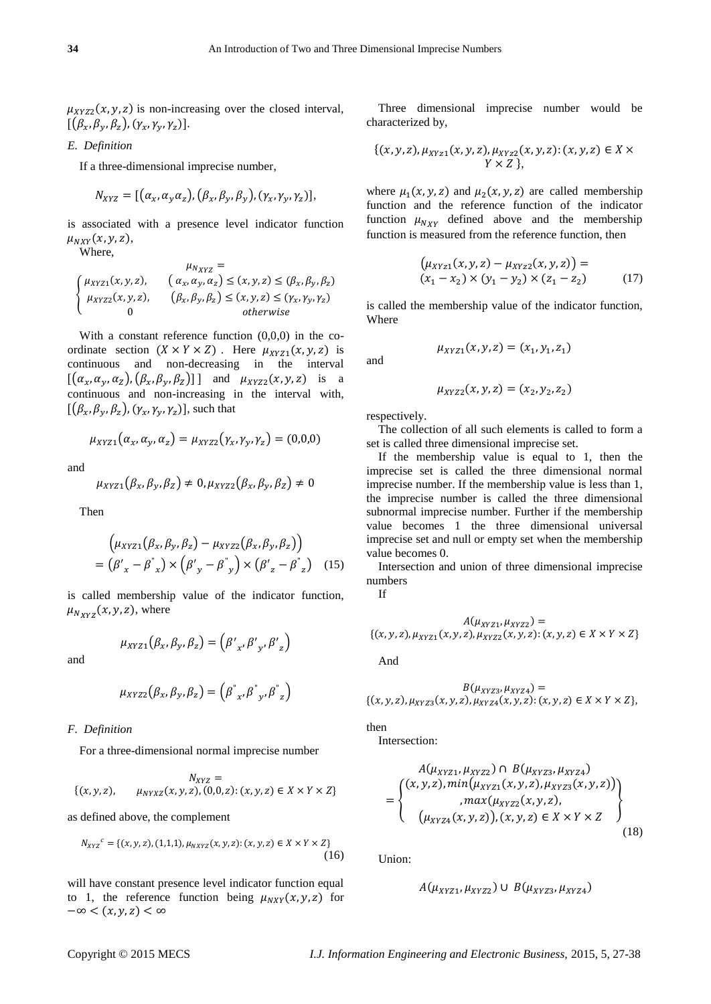$\mu_{XYZ2}(x, y, z)$  is non-increasing over the closed interval,  $[(\beta_x,\beta_y,\beta_z), (\gamma_x,\gamma_y,\gamma_z)].$ 

# *E. Definition*

If a three-dimensional imprecise number,

$$
N_{XYZ} = [(\alpha_x, \alpha_y \alpha_z), (\beta_x, \beta_y, \beta_y), (\gamma_x, \gamma_y, \gamma_z)],
$$

is associated with a presence level indicator function  $\mu_{NXY}(x, y, z),$ 

Where,

$$
\begin{cases}\n\mu_{XYZ} = \\
\mu_{XYZ1}(x, y, z), \quad (\alpha_x, \alpha_y, \alpha_z) \le (x, y, z) \le (\beta_x, \beta_y, \beta_z) \\
\mu_{XYZ2}(x, y, z), \quad (\beta_x, \beta_y, \beta_z) \le (x, y, z) \le (\gamma_x, \gamma_y, \gamma_z) \\
0\n\end{cases}
$$

With a constant reference function  $(0,0,0)$  in the coordinate section  $(X \times Y \times Z)$ . Here  $\mu_{XYZ1}(x, y, z)$  is continuous and non-decreasing in the interval  $[(\alpha_x, \alpha_y, \alpha_z), (\beta_x, \beta_y, \beta_z)]$  and  $\mu_{XYZ2}(x, y, z)$  is a continuous and non-increasing in the interval with,  $[(\beta_x, \beta_y, \beta_z), (\gamma_x, \gamma_y, \gamma_z)]$ , such that

$$
\mu_{XYZ1}(\alpha_x, \alpha_y, \alpha_z) = \mu_{XYZ2}(\gamma_x, \gamma_y, \gamma_z) = (0,0,0)
$$

and

$$
\mu_{XYZ1}(\beta_x,\beta_y,\beta_z)\neq 0, \mu_{XYZ2}(\beta_x,\beta_y,\beta_z)\neq 0
$$

Then

$$
\left(\mu_{XYZ1}(\beta_x, \beta_y, \beta_z) - \mu_{XYZ2}(\beta_x, \beta_y, \beta_z)\right)
$$
  
=  $({\beta'}_x - {\beta'}_x) \times ({\beta'}_y - {\beta'}_y) \times ({\beta'}_z - {\beta'}_z)$  (15)

is called membership value of the indicator function,  $\mu_{N_{XYZ}}(x, y, z)$ , where

$$
\mu_{XYZ1}(\beta_x,\beta_y,\beta_z)=\left(\beta'_{x},\beta'_{y},\beta'_{z}\right)
$$

and

$$
\mu_{XYZ2}(\beta_x, \beta_y, \beta_z) = (\beta^{''}_{x}, \beta^{''}_{y}, \beta^{''}_{z})
$$

## *F. Definition*

For a three-dimensional normal imprecise number

$$
N_{XYZ} =\{(x,y,z), \qquad \mu_{NYXZ}(x,y,z), (0,0,z); (x,y,z) \in X \times Y \times Z\}
$$

as defined above, the complement

$$
N_{XYZ}^c = \{(x, y, z), (1, 1, 1), \mu_{NXYZ}(x, y, z); (x, y, z) \in X \times Y \times Z\}
$$
\n(16)

will have constant presence level indicator function equal to 1, the reference function being  $\mu_{NXY}(x, y, z)$  for  $-\infty < (x, y, z) < \infty$ 

Three dimensional imprecise number would be characterized by,

$$
\{(x, y, z), \mu_{XYZ1}(x, y, z), \mu_{XYZ2}(x, y, z): (x, y, z) \in X \times Y \times Z \},\
$$

where  $\mu_1(x, y, z)$  and  $\mu_2(x, y, z)$  are called membership function and the reference function of the indicator function  $\mu_{N_{XY}}$  defined above and the membership function is measured from the reference function, then

$$
\left(\mu_{XYZ1}(x, y, z) - \mu_{XYZ2}(x, y, z)\right) =(x1 - x2) \times (y1 - y2) \times (z1 - z2)
$$
 (17)

is called the membership value of the indicator function, Where

and

$$
\mu_{XYZ1}(x, y, z) = (x_1, y_1, z_1)
$$

$$
\mu_{XYZ2}(x, y, z) = (x_2, y_2, z_2)
$$

respectively.

The collection of all such elements is called to form a set is called three dimensional imprecise set.

If the membership value is equal to 1, then the imprecise set is called the three dimensional normal imprecise number. If the membership value is less than 1, the imprecise number is called the three dimensional subnormal imprecise number. Further if the membership value becomes 1 the three dimensional universal imprecise set and null or empty set when the membership value becomes 0.

Intersection and union of three dimensional imprecise numbers

If

$$
A(\mu_{XYZ1}, \mu_{XYZ2}) =
$$
  
{(x, y, z),  $\mu_{XYZ1}(x, y, z), \mu_{XYZ2}(x, y, z): (x, y, z) \in X \times Y \times Z}$ 

And

$$
B(\mu_{XYZ3}, \mu_{XYZ4}) = \{ (x, y, z), \mu_{XYZ3}(x, y, z), \mu_{XYZ4}(x, y, z) : (x, y, z) \in X \times Y \times Z \},\
$$

then

Intersection:

$$
A(\mu_{XYZ1}, \mu_{XYZ2}) \cap B(\mu_{XYZ3}, \mu_{XYZ4})
$$
  
= 
$$
\begin{cases} (x, y, z), min(\mu_{XYZ1}(x, y, z), \mu_{XYZ3}(x, y, z)) \\ , max(\mu_{XYZ2}(x, y, z), \\ (\mu_{XYZ4}(x, y, z)), (x, y, z) \in X \times Y \times Z \end{cases}
$$
 (18)

Union:

$$
A(\mu_{XYZ1}, \mu_{XYZ2}) \cup B(\mu_{XYZ3}, \mu_{XYZ4})
$$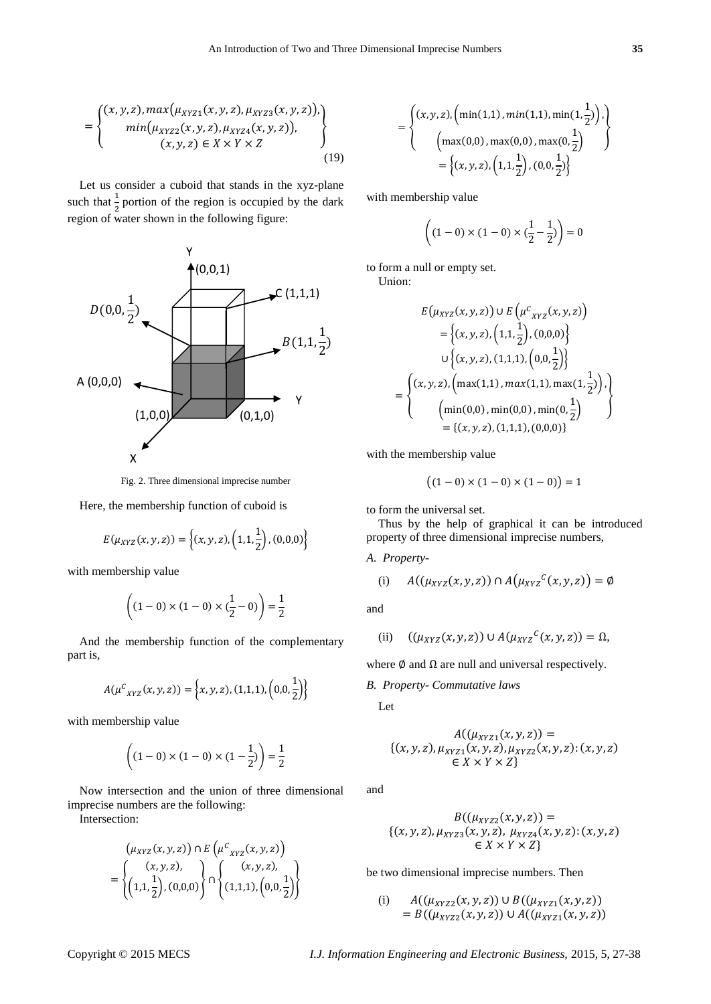$$
= \begin{cases} (x, y, z), \max(\mu_{XYZ1}(x, y, z), \mu_{XYZ3}(x, y, z)), \\ \min(\mu_{XYZ2}(x, y, z), \mu_{XYZ4}(x, y, z)), \\ (x, y, z) \in X \times Y \times Z \end{cases}
$$
(19)

Let us consider a cuboid that stands in the xyz-plane such that  $\frac{1}{2}$  portion of the region is occupied by the dark region of water shown in the following figure:



Fig. 2. Three dimensional imprecise number

Here, the membership function of cuboid is

$$
E(\mu_{XYZ}(x,y,z)) = \left\{ (x,y,z), (1,1,\frac{1}{2}), (0,0,0) \right\}
$$

with membership value

$$
\left( (1-0) \times (1-0) \times (\frac{1}{2} - 0) \right) = \frac{1}{2}
$$

And the membership function of the complementary part is,

$$
A(\mu^C{}_{XYZ}(x,y,z)) = \left\{x,y,z\right\}, (1,1,1), \left(0,0,\frac{1}{2}\right)\right\}
$$

with membership value

$$
\left( (1-0) \times (1-0) \times (1-\frac{1}{2}) \right) = \frac{1}{2}
$$

Now intersection and the union of three dimensional imprecise numbers are the following:

Intersection:

$$
(\mu_{XYZ}(x, y, z)) \cap E(\mu^{c}_{XYZ}(x, y, z))
$$
  
= 
$$
\begin{Bmatrix} (x, y, z), \\ (1, 1, \frac{1}{2}), (0, 0, 0) \end{Bmatrix} \cap \begin{Bmatrix} (x, y, z), \\ (1, 1, 1), (0, 0, \frac{1}{2}) \end{Bmatrix}
$$

$$
= \left\{ \begin{aligned} (x, y, z), \left( \min(1, 1), \min(1, 1), \min(1, \frac{1}{2}) \right), \\ \left( \max(0, 0), \max(0, 0), \max(0, \frac{1}{2}) \right) \\ = \left\{ (x, y, z), \left( 1, 1, \frac{1}{2} \right), (0, 0, \frac{1}{2}) \right\} \end{aligned} \right\}
$$

with membership value

$$
\left( (1-0) \times (1-0) \times (\frac{1}{2} - \frac{1}{2}) \right) = 0
$$

to form a null or empty set.

Union:

 $\equiv$ 

$$
E(\mu_{XYZ}(x, y, z)) \cup E(\mu^{c}_{XYZ}(x, y, z))
$$
  
= { $(x, y, z), (1, 1, \frac{1}{2}), (0, 0, 0)$ }  
 $\cup \{(x, y, z), (1, 1, 1), (0, 0, \frac{1}{2})\}$   
= { $(x, y, z), (\max(1, 1), \max(1, 1), \max(1, \frac{1}{2}))$ }  
= { $(x, y, z), (1, 1, 1), (0, 0, 0)$ }

with the membership value

$$
((1-0) \times (1-0) \times (1-0)) = 1
$$

to form the universal set.

Thus by the help of graphical it can be introduced property of three dimensional imprecise numbers,

*A. Property-*

(i) 
$$
A((\mu_{XYZ}(x,y,z)) \cap A(\mu_{XYZ}^c(x,y,z)) = \emptyset
$$

and

(ii) 
$$
((\mu_{XYZ}(x,y,z)) \cup A(\mu_{XYZ}^c(x,y,z)) = \Omega,
$$

where  $\emptyset$  and  $\Omega$  are null and universal respectively.

*B. Property- Commutative laws*

Let

$$
A((\mu_{XYZ1}(x, y, z)) =\{(x, y, z), \mu_{XYZ1}(x, y, z), \mu_{XYZ2}(x, y, z): (x, y, z)\in X \times Y \times Z\}
$$

and

$$
B((\mu_{XYZ2}(x, y, z)) =
$$
  
{(x, y, z), \mu\_{XYZ3}(x, y, z), \mu\_{XYZ4}(x, y, z): (x, y, z)  
{\in X \times Y \times Z}

be two dimensional imprecise numbers. Then

(i) 
$$
A((\mu_{XYZ2}(x, y, z)) \cup B((\mu_{XYZ1}(x, y, z)))
$$
  
=  $B((\mu_{XYZ2}(x, y, z)) \cup A((\mu_{XYZ1}(x, y, z)))$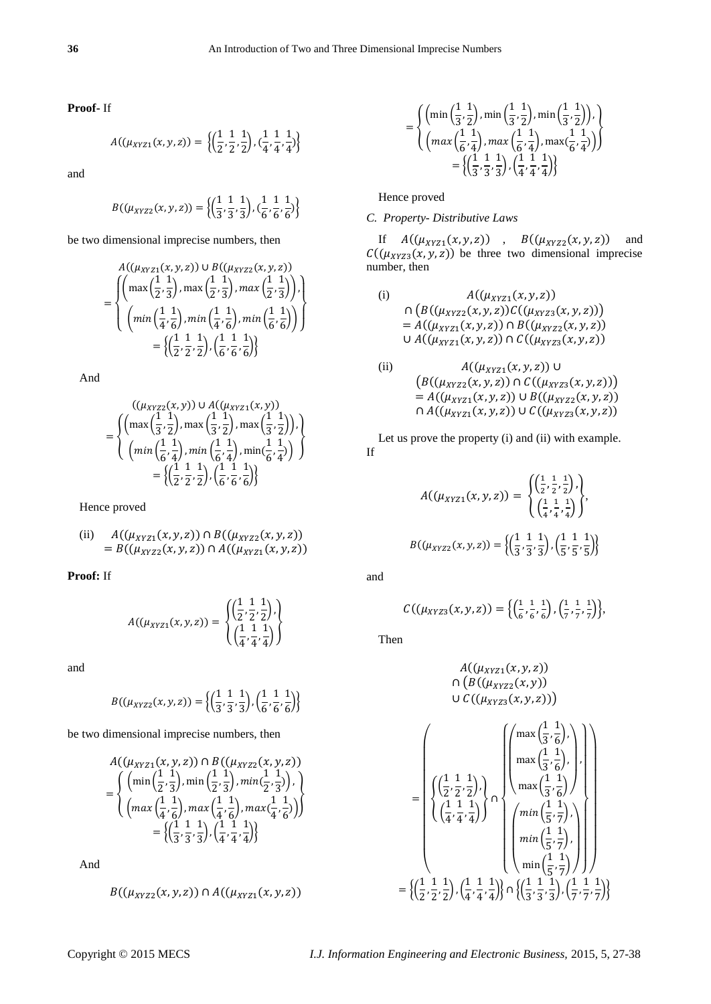**Proof-** If

$$
A((\mu_{XYZ1}(x,y,z)) = \left\{ \left( \frac{1}{2}, \frac{1}{2}, \frac{1}{2} \right), \left( \frac{1}{4}, \frac{1}{4}, \frac{1}{4} \right) \right\}
$$

and

$$
B((\mu_{XYZ2}(x,y,z)) = \left\{ \left( \frac{1}{3}, \frac{1}{3}, \frac{1}{3} \right), \left( \frac{1}{6}, \frac{1}{6}, \frac{1}{6} \right) \right\}
$$

be two dimensional imprecise numbers, then

$$
A((\mu_{XYZ1}(x, y, z)) \cup B((\mu_{XYZ2}(x, y, z)))
$$
  
= 
$$
\begin{cases} \left( \max\left(\frac{1}{2}, \frac{1}{3}\right), \max\left(\frac{1}{2}, \frac{1}{3}\right), \max\left(\frac{1}{2}, \frac{1}{3}\right) \right), \\ \left( \min\left(\frac{1}{4}, \frac{1}{6}\right), \min\left(\frac{1}{4}, \frac{1}{6}\right), \min\left(\frac{1}{6}, \frac{1}{6}\right) \right) \right) \\ = \left\{ \left( \frac{1}{2}, \frac{1}{2}, \frac{1}{2} \right), \left( \frac{1}{6}, \frac{1}{6}, \frac{1}{6} \right) \right\} \end{cases}
$$

And

$$
= \begin{cases} \left( (\mu_{XYZ2}(x,y)) \cup A((\mu_{XYZ1}(x,y)) \right. \\ \left( \max\left(\frac{1}{3},\frac{1}{2}\right),\max\left(\frac{1}{3},\frac{1}{2}\right),\max\left(\frac{1}{3},\frac{1}{2}\right) \right) \right) \\ \left( \min\left(\frac{1}{6},\frac{1}{4}\right),\min\left(\frac{1}{6},\frac{1}{4}\right),\min\left(\frac{1}{6},\frac{1}{4}\right) \right) \end{cases}
$$

$$
= \left\{ \left( \frac{1}{2},\frac{1}{2},\frac{1}{2} \right), \left( \frac{1}{6},\frac{1}{6},\frac{1}{6} \right) \right\}
$$

Hence proved

(ii) 
$$
A((\mu_{XYZ1}(x,y,z)) \cap B((\mu_{XYZ2}(x,y,z))
$$

$$
= B((\mu_{XYZ2}(x,y,z)) \cap A((\mu_{XYZ1}(x,y,z))
$$

**Proof:** If

$$
A((\mu_{XYZ1}(x,y,z)) = \begin{cases} \left(\frac{1}{2}, \frac{1}{2}, \frac{1}{2}\right), \\ \left(\frac{1}{4}, \frac{1}{4}, \frac{1}{4}\right) \end{cases}
$$

and

$$
B((\mu_{XYZ2}(x,y,z)) = \left\{ \left( \frac{1}{3}, \frac{1}{3}, \frac{1}{3} \right), \left( \frac{1}{6}, \frac{1}{6}, \frac{1}{6} \right) \right\}
$$

be two dimensional imprecise numbers, then

$$
A((\mu_{XYZ1}(x, y, z)) \cap B((\mu_{XYZ2}(x, y, z)))
$$
  
= 
$$
\begin{cases} \left(\min\left(\frac{1}{2}, \frac{1}{3}\right), \min\left(\frac{1}{2}, \frac{1}{3}\right), \min\left(\frac{1}{2}, \frac{1}{3}\right)\right), \\ \left(\max\left(\frac{1}{4}, \frac{1}{6}\right), \max\left(\frac{1}{4}, \frac{1}{6}\right), \max\left(\frac{1}{4}, \frac{1}{6}\right)\right) \right) \\ = \left\{ \left(\frac{1}{3}, \frac{1}{3}, \frac{1}{3}\right), \left(\frac{1}{4}, \frac{1}{4}, \frac{1}{4}\right) \right\} \end{cases}
$$

And

$$
B((\mu_{XYZ2}(x,y,z)) \cap A((\mu_{XYZ1}(x,y,z)))
$$

$$
= \begin{cases}\n\left(\min\left(\frac{1}{3},\frac{1}{2}\right),\min\left(\frac{1}{3},\frac{1}{2}\right),\min\left(\frac{1}{3},\frac{1}{2}\right)\right), \\
\left(\max\left(\frac{1}{6},\frac{1}{4}\right),\max\left(\frac{1}{6},\frac{1}{4}\right),\max\left(\frac{1}{6},\frac{1}{4}\right)\right)\n\end{cases}
$$
\n
$$
= \left\{\left(\frac{1}{3},\frac{1}{3},\frac{1}{3}\right), \left(\frac{1}{4},\frac{1}{4},\frac{1}{4}\right)\right\}
$$

Hence proved

# *C. Property- Distributive Laws*

If  $A((\mu_{XYZ_1}(x, y, z))$ ,  $B((\mu_{XYZ_2}(x, y, z))$  and  $\mathcal{C}((\mu_{XYZ3}(x, y, z))$  be three two dimensional imprecise number, then

(i) 
$$
A((\mu_{XYZ1}(x,y,z))
$$

$$
\cap (B((\mu_{XYZ2}(x,y,z))C((\mu_{XYZ3}(x,y,z)))
$$

$$
= A((\mu_{XYZ1}(x,y,z)) \cap B((\mu_{XYZ2}(x,y,z)))
$$

$$
\cup A((\mu_{XYZ1}(x,y,z)) \cap C((\mu_{XYZ3}(x,y,z)))
$$

(ii) 
$$
A((\mu_{XYZ1}(x,y,z)) \cup (B((\mu_{XYZ2}(x,y,z)) \cap C((\mu_{XYZ3}(x,y,z)))= A((\mu_{XYZ1}(x,y,z)) \cup B((\mu_{XYZ2}(x,y,z))\cap A((\mu_{XYZ1}(x,y,z)) \cup C((\mu_{XYZ3}(x,y,z)))
$$

Let us prove the property (i) and (ii) with example. If

$$
A((\mu_{XYZ1}(x,y,z)) = \begin{cases} \left(\frac{1}{2}, \frac{1}{2}, \frac{1}{2}\right), \\ \left(\frac{1}{4}, \frac{1}{4}, \frac{1}{4}\right) \end{cases},
$$

$$
B((\mu_{XYZ2}(x,y,z)) = \left\{ \left(\frac{1}{3}, \frac{1}{3}, \frac{1}{3}\right), \left(\frac{1}{5}, \frac{1}{5}, \frac{1}{5}\right) \right\}
$$

and

$$
C((\mu_{XYZ3}(x,y,z)) = \left\{ \left( \frac{1}{6}, \frac{1}{6}, \frac{1}{6} \right), \left( \frac{1}{7}, \frac{1}{7}, \frac{1}{7} \right) \right\},\
$$

Then

$$
A((\mu_{XYZ1}(x, y, z)) \cap (B((\mu_{XYZ2}(x, y))) \cup C((\mu_{XYZ3}(x, y, z))) \cup C((\mu_{XYZ3}(x, y, z)))
$$
\n
$$
= \left\{ \left( \frac{1}{2}, \frac{1}{2}, \frac{1}{2} \right), \left( \frac{1}{2}, \frac{1}{2}, \frac{1}{2} \right) \right\} \cap \left\{ \left( \frac{1}{4}, \frac{1}{4}, \frac{1}{4} \right) \right\} \left( \frac{1}{\min \left( \frac{1}{5}, \frac{1}{7} \right)}, \left( \frac{1}{2}, \frac{1}{2} \right) \right) \left( \frac{1}{\min \left( \frac{1}{5}, \frac{1}{7} \right)}, \left( \frac{1}{2}, \frac{1}{2} \right) \right) \right) \right\}
$$
\n
$$
= \left\{ \left( \frac{1}{2}, \frac{1}{2}, \frac{1}{2} \right), \left( \frac{1}{4}, \frac{1}{4}, \frac{1}{4} \right) \right\} \cap \left\{ \left( \frac{1}{3}, \frac{1}{3}, \frac{1}{3} \right), \left( \frac{1}{7}, \frac{1}{7}, \frac{1}{7} \right) \right\}
$$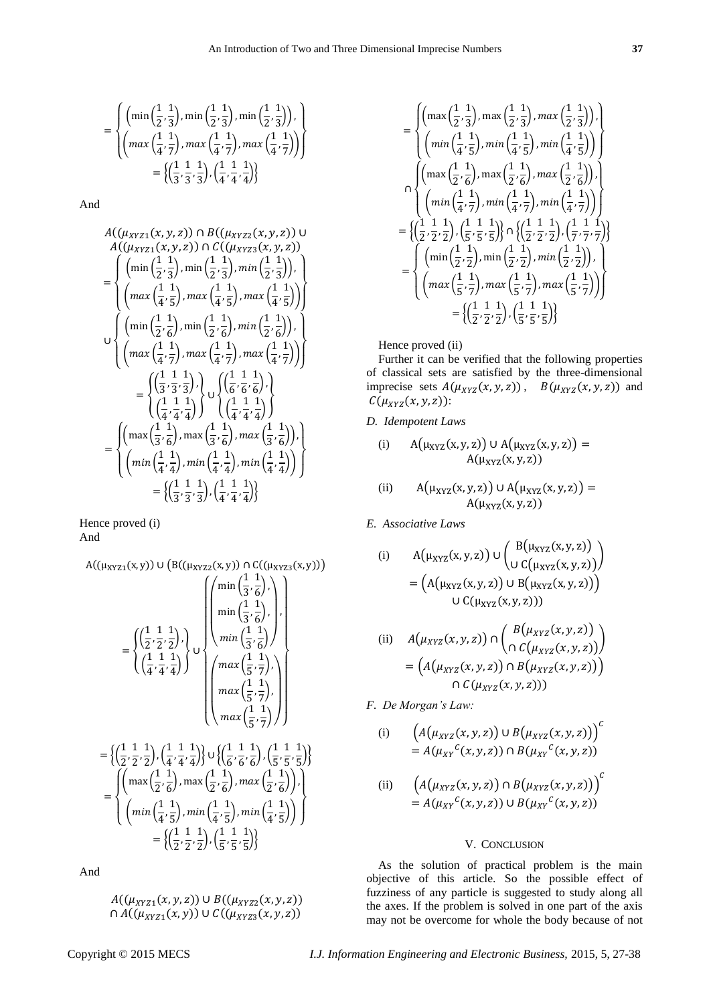$$
= \begin{cases} \left(\min\left(\frac{1}{2},\frac{1}{3}\right),\min\left(\frac{1}{2},\frac{1}{3}\right),\min\left(\frac{1}{2},\frac{1}{3}\right)\right), \\ \left(\max\left(\frac{1}{4},\frac{1}{7}\right),\max\left(\frac{1}{4},\frac{1}{7}\right),\max\left(\frac{1}{4},\frac{1}{7}\right)\right) \right) \\ = \left\{\left(\frac{1}{3},\frac{1}{3},\frac{1}{3}\right), \left(\frac{1}{4},\frac{1}{4},\frac{1}{4}\right)\right\} \end{cases}
$$

And

$$
A((\mu_{XYZ1}(x, y, z)) \cap B((\mu_{XYZ2}(x, y, z)) \cup A((\mu_{XYZ1}(x, y, z)) \cap C((\mu_{XYZ2}(x, y, z))) = \begin{cases} \left(\min\left(\frac{1}{2}, \frac{1}{3}\right), \min\left(\frac{1}{2}, \frac{1}{3}\right), \min\left(\frac{1}{2}, \frac{1}{3}\right)\right), \\ \left(\max\left(\frac{1}{4}, \frac{1}{5}\right), \max\left(\frac{1}{4}, \frac{1}{5}\right), \max\left(\frac{1}{4}, \frac{1}{5}\right)\right) \end{cases} \cup \begin{cases} \left(\min\left(\frac{1}{2}, \frac{1}{6}\right), \min\left(\frac{1}{2}, \frac{1}{6}\right), \min\left(\frac{1}{2}, \frac{1}{6}\right)\right), \\ \left(\max\left(\frac{1}{4}, \frac{1}{7}\right), \max\left(\frac{1}{4}, \frac{1}{7}\right), \max\left(\frac{1}{4}, \frac{1}{7}\right)\right) \end{cases} = \begin{cases} \left(\frac{1}{3}, \frac{1}{3}, \frac{1}{3}\right), \\ \left(\frac{1}{4}, \frac{1}{4}, \frac{1}{4}\right) \end{cases} \cup \begin{cases} \left(\frac{1}{6}, \frac{1}{6}, \frac{1}{6}\right), \\ \left(\frac{1}{4}, \frac{1}{4}, \frac{1}{4}\right) \end{cases} = \begin{cases} \left(\max\left(\frac{1}{3}, \frac{1}{6}\right), \max\left(\frac{1}{3}, \frac{1}{6}\right), \max\left(\frac{1}{3}, \frac{1}{6}\right) \end{cases} \right) \end{cases} = \begin{cases} \left(\max\left(\frac{1}{4}, \frac{1}{4}\right), \min\left(\frac{1}{4}, \frac{1}{4}\right), \min\left(\frac{1}{4}, \frac{1}{4}\right) \end{cases} = \begin{cases} \left(\frac{1}{3}, \frac{1}{3}, \frac{1}{3}\right), \left(\frac{1}{4}, \frac{1}{4}, \frac{1}{4}\right) \end{cases} \end{cases} = \begin{cases} \left(\frac{1}{3}, \frac{1}{3}, \frac{1}{3}\right), \left(\frac{1}{4}, \frac{1}{4}, \frac{1}{4}\right
$$

Hence proved (i) And

$$
A((\mu_{XYZ1}(x,y)) \cup (B((\mu_{XYZ2}(x,y)) \cap C((\mu_{XYZ3}(x,y))))
$$
\n
$$
= \left\{ \left( \frac{1}{2}, \frac{1}{2}, \frac{1}{2} \right), \left( \frac{1}{4}, \frac{1}{4}, \frac{1}{4} \right) \right\} \cup \left\{ \left( \frac{1}{4}, \frac{1}{4}, \frac{1}{4} \right) \right\}
$$
\n
$$
= \left\{ \left( \frac{1}{2}, \frac{1}{2}, \frac{1}{2} \right), \left( \frac{1}{4}, \frac{1}{4}, \frac{1}{4} \right) \right\} \cup \left\{ \left( \frac{1}{6}, \frac{1}{6}, \frac{1}{7} \right), \left( \frac{1}{6}, \frac{1}{5}, \frac{1}{7} \right) \right\}
$$
\n
$$
= \left\{ \left( \frac{1}{2}, \frac{1}{2}, \frac{1}{2} \right), \left( \frac{1}{4}, \frac{1}{4}, \frac{1}{4} \right) \right\} \cup \left\{ \left( \frac{1}{6}, \frac{1}{6}, \frac{1}{6} \right), \left( \frac{1}{5}, \frac{1}{5}, \frac{1}{5} \right) \right\}
$$
\n
$$
= \left\{ \left( \frac{1}{2}, \frac{1}{2}, \frac{1}{5} \right), \frac{1}{2}, \frac{1}{2}, \frac{1}{2} \right\}, \frac{1}{2}, \frac{1}{2}, \frac{1}{2} \right\}
$$
\n
$$
= \left\{ \left( \frac{1}{2}, \frac{1}{2}, \frac{1}{2} \right), \frac{1}{2}, \frac{1}{2}, \frac{1}{2} \right\}
$$
\n
$$
= \left\{ \left( \frac{1}{2}, \frac{1}{2}, \frac{1}{2} \right), \left( \frac{1}{5}, \frac{1}{5}, \frac{1}{5} \right) \right\}
$$

And

$$
A((\mu_{XYZ1}(x,y,z)) \cup B((\mu_{XYZ2}(x,y,z))
$$
  

$$
\cap A((\mu_{XYZ1}(x,y)) \cup C((\mu_{XYZ3}(x,y,z))
$$

$$
= \begin{cases}\n\left(\max\left(\frac{1}{2},\frac{1}{3}\right),\max\left(\frac{1}{2},\frac{1}{3}\right),\max\left(\frac{1}{2},\frac{1}{3}\right)\right), \\
\left(\min\left(\frac{1}{4},\frac{1}{5}\right),\min\left(\frac{1}{4},\frac{1}{5}\right),\min\left(\frac{1}{4},\frac{1}{5}\right)\right)\right) \\
\left(\max\left(\frac{1}{2},\frac{1}{6}\right),\max\left(\frac{1}{2},\frac{1}{6}\right),\max\left(\frac{1}{2},\frac{1}{6}\right)\right), \\
\left(\min\left(\frac{1}{4},\frac{1}{7}\right),\min\left(\frac{1}{4},\frac{1}{7}\right),\min\left(\frac{1}{4},\frac{1}{7}\right)\right)\right) \\
= \left\{\left(\frac{1}{2},\frac{1}{2},\frac{1}{2}\right),\left(\frac{1}{5},\frac{1}{5},\frac{1}{5}\right)\right\} \cap \left\{\left(\frac{1}{2},\frac{1}{2},\frac{1}{2}\right),\left(\frac{1}{7},\frac{1}{7},\frac{1}{7}\right)\right\} \\
= \begin{cases}\n\left(\min\left(\frac{1}{2},\frac{1}{2}\right),\min\left(\frac{1}{2},\frac{1}{2}\right),\min\left(\frac{1}{2},\frac{1}{2}\right)\right), \\
\left(\max\left(\frac{1}{5},\frac{1}{7}\right),\max\left(\frac{1}{5},\frac{1}{7}\right),\max\left(\frac{1}{5},\frac{1}{7}\right)\right)\right) \\
= \left\{\left(\frac{1}{2},\frac{1}{2},\frac{1}{2}\right),\left(\frac{1}{5},\frac{1}{5},\frac{1}{5}\right)\right\}\n\end{cases}
$$

Hence proved (ii)

Further it can be verified that the following properties of classical sets are satisfied by the three-dimensional imprecise sets  $A(\mu_{XYZ}(x, y, z))$ ,  $B(\mu_{XYZ}(x, y, z))$  and  $C(\mu_{XYZ}(x,y,z))$ :

*D. Idempotent Laws*

(i) 
$$
A(\mu_{XYZ}(x, y, z)) \cup A(\mu_{XYZ}(x, y, z)) = A(\mu_{XYZ}(x, y, z))
$$

(ii) 
$$
A(\mu_{XYZ}(x, y, z)) \cup A(\mu_{XYZ}(x, y, z)) = A(\mu_{XYZ}(x, y, z))
$$

*E. Associative Laws*

(i) 
$$
A(\mu_{XYZ}(x,y,z)) \cup \begin{pmatrix} B(\mu_{XYZ}(x,y,z)) \\ U C(\mu_{XYZ}(x,y,z)) \end{pmatrix}
$$

$$
= (A(\mu_{XYZ}(x,y,z)) \cup B(\mu_{XYZ}(x,y,z)))
$$

$$
C(\mu_{XYZ}(x,y,z)))
$$

(ii) 
$$
A(\mu_{XYZ}(x,y,z)) \cap \left( \begin{array}{c} B(\mu_{XYZ}(x,y,z)) \\ \cap C(\mu_{XYZ}(x,y,z)) \end{array} \right)
$$

$$
= \left( A(\mu_{XYZ}(x,y,z)) \cap B(\mu_{XYZ}(x,y,z)) \right)
$$

$$
\cap C(\mu_{XYZ}(x,y,z)))
$$

*F. De Morgan's Law:*

(i) 
$$
\left(A(\mu_{XYZ}(x,y,z))\cup B(\mu_{XYZ}(x,y,z))\right)^c
$$

$$
=A(\mu_{XY}^c(x,y,z))\cap B(\mu_{XY}^c(x,y,z))
$$

(ii) 
$$
\left(A(\mu_{XYZ}(x,y,z)) \cap B(\mu_{XYZ}(x,y,z))\right)^{c} = A(\mu_{XY}^{c}(x,y,z)) \cup B(\mu_{XY}^{c}(x,y,z))
$$

# V. CONCLUSION

As the solution of practical problem is the main objective of this article. So the possible effect of fuzziness of any particle is suggested to study along all the axes. If the problem is solved in one part of the axis may not be overcome for whole the body because of not